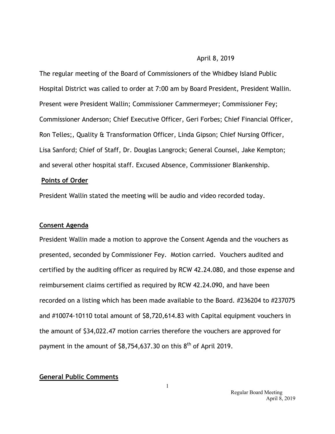#### April 8, 2019

The regular meeting of the Board of Commissioners of the Whidbey Island Public Hospital District was called to order at 7:00 am by Board President, President Wallin. Present were President Wallin; Commissioner Cammermeyer; Commissioner Fey; Commissioner Anderson; Chief Executive Officer, Geri Forbes; Chief Financial Officer, Ron Telles;, Quality & Transformation Officer, Linda Gipson; Chief Nursing Officer, Lisa Sanford; Chief of Staff, Dr. Douglas Langrock; General Counsel, Jake Kempton; and several other hospital staff. Excused Absence, Commissioner Blankenship.

#### **Points of Order**

President Wallin stated the meeting will be audio and video recorded today.

#### **Consent Agenda**

President Wallin made a motion to approve the Consent Agenda and the vouchers as presented, seconded by Commissioner Fey. Motion carried. Vouchers audited and certified by the auditing officer as required by RCW 42.24.080, and those expense and reimbursement claims certified as required by RCW 42.24.090, and have been recorded on a listing which has been made available to the Board. #236204 to #237075 and #10074-10110 total amount of \$8,720,614.83 with Capital equipment vouchers in the amount of \$34,022.47 motion carries therefore the vouchers are approved for payment in the amount of  $$8,754,637.30$  on this  $8<sup>th</sup>$  of April 2019.

#### **General Public Comments**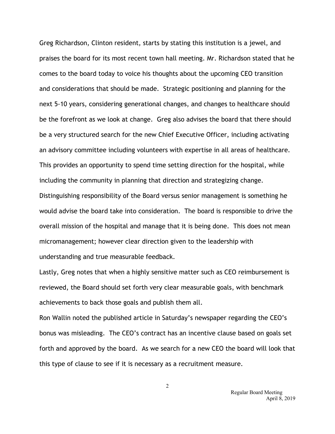Greg Richardson, Clinton resident, starts by stating this institution is a jewel, and praises the board for its most recent town hall meeting. Mr. Richardson stated that he comes to the board today to voice his thoughts about the upcoming CEO transition and considerations that should be made. Strategic positioning and planning for the next 5-10 years, considering generational changes, and changes to healthcare should be the forefront as we look at change. Greg also advises the board that there should be a very structured search for the new Chief Executive Officer, including activating an advisory committee including volunteers with expertise in all areas of healthcare*.* This provides an opportunity to spend time setting direction for the hospital, while including the community in planning that direction and strategizing change. Distinguishing responsibility of the Board versus senior management is something he would advise the board take into consideration. The board is responsible to drive the overall mission of the hospital and manage that it is being done. This does not mean micromanagement; however clear direction given to the leadership with understanding and true measurable feedback.

Lastly, Greg notes that when a highly sensitive matter such as CEO reimbursement is reviewed, the Board should set forth very clear measurable goals, with benchmark achievements to back those goals and publish them all.

Ron Wallin noted the published article in Saturday's newspaper regarding the CEO's bonus was misleading. The CEO's contract has an incentive clause based on goals set forth and approved by the board. As we search for a new CEO the board will look that this type of clause to see if it is necessary as a recruitment measure.

2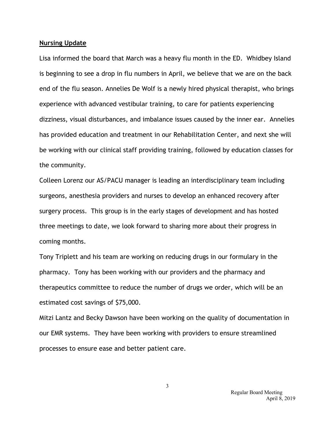#### **Nursing Update**

Lisa informed the board that March was a heavy flu month in the ED. Whidbey Island is beginning to see a drop in flu numbers in April, we believe that we are on the back end of the flu season. Annelies De Wolf is a newly hired physical therapist, who brings experience with advanced vestibular training, to care for patients experiencing dizziness, visual disturbances, and imbalance issues caused by the inner ear. Annelies has provided education and treatment in our Rehabilitation Center, and next she will be working with our clinical staff providing training, followed by education classes for the community.

Colleen Lorenz our AS/PACU manager is leading an interdisciplinary team including surgeons, anesthesia providers and nurses to develop an enhanced recovery after surgery process. This group is in the early stages of development and has hosted three meetings to date, we look forward to sharing more about their progress in coming months.

Tony Triplett and his team are working on reducing drugs in our formulary in the pharmacy. Tony has been working with our providers and the pharmacy and therapeutics committee to reduce the number of drugs we order, which will be an estimated cost savings of \$75,000.

Mitzi Lantz and Becky Dawson have been working on the quality of documentation in our EMR systems. They have been working with providers to ensure streamlined processes to ensure ease and better patient care.

3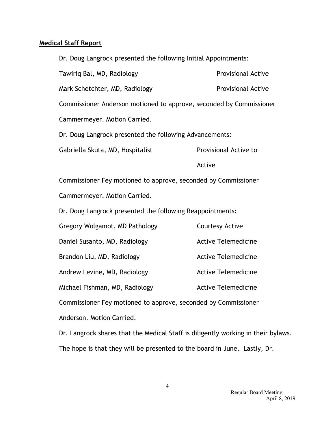## **Medical Staff Report**

| Dr. Doug Langrock presented the following Initial Appointments:     |                            |
|---------------------------------------------------------------------|----------------------------|
| Tawiriq Bal, MD, Radiology                                          | <b>Provisional Active</b>  |
| Mark Schetchter, MD, Radiology                                      | <b>Provisional Active</b>  |
| Commissioner Anderson motioned to approve, seconded by Commissioner |                            |
| Cammermeyer. Motion Carried.                                        |                            |
| Dr. Doug Langrock presented the following Advancements:             |                            |
| Gabriella Skuta, MD, Hospitalist                                    | Provisional Active to      |
|                                                                     | Active                     |
| Commissioner Fey motioned to approve, seconded by Commissioner      |                            |
| Cammermeyer. Motion Carried.                                        |                            |
| Dr. Doug Langrock presented the following Reappointments:           |                            |
| Gregory Wolgamot, MD Pathology                                      | <b>Courtesy Active</b>     |
| Daniel Susanto, MD, Radiology                                       | <b>Active Telemedicine</b> |
| Brandon Liu, MD, Radiology                                          | <b>Active Telemedicine</b> |
| Andrew Levine, MD, Radiology                                        | <b>Active Telemedicine</b> |
| Michael Fishman, MD, Radiology                                      | <b>Active Telemedicine</b> |
| Commissioner Fey motioned to approve, seconded by Commissioner      |                            |
| Anderson. Motion Carried.                                           |                            |

Dr. Langrock shares that the Medical Staff is diligently working in their bylaws. The hope is that they will be presented to the board in June. Lastly, Dr.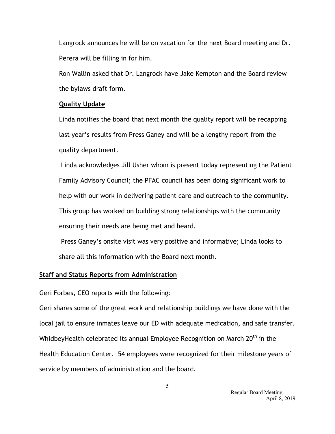Langrock announces he will be on vacation for the next Board meeting and Dr. Perera will be filling in for him.

Ron Wallin asked that Dr. Langrock have Jake Kempton and the Board review the bylaws draft form.

### **Quality Update**

Linda notifies the board that next month the quality report will be recapping last year's results from Press Ganey and will be a lengthy report from the quality department.

Linda acknowledges Jill Usher whom is present today representing the Patient Family Advisory Council; the PFAC council has been doing significant work to help with our work in delivering patient care and outreach to the community. This group has worked on building strong relationships with the community ensuring their needs are being met and heard.

Press Ganey's onsite visit was very positive and informative; Linda looks to share all this information with the Board next month.

## **Staff and Status Reports from Administration**

Geri Forbes, CEO reports with the following:

Geri shares some of the great work and relationship buildings we have done with the local jail to ensure inmates leave our ED with adequate medication, and safe transfer. WhidbeyHealth celebrated its annual Employee Recognition on March 20<sup>th</sup> in the Health Education Center. 54 employees were recognized for their milestone years of service by members of administration and the board.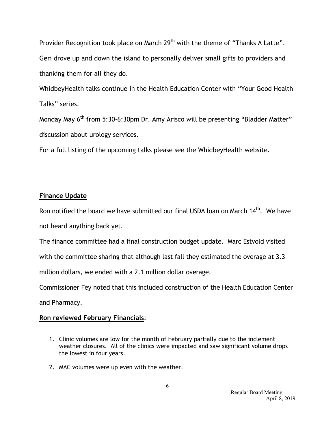Provider Recognition took place on March 29<sup>th</sup> with the theme of "Thanks A Latte". Geri drove up and down the island to personally deliver small gifts to providers and thanking them for all they do.

WhidbeyHealth talks continue in the Health Education Center with "Your Good Health Talks" series.

Monday May 6<sup>th</sup> from 5:30-6:30pm Dr. Amy Arisco will be presenting "Bladder Matter" discussion about urology services.

For a full listing of the upcoming talks please see the WhidbeyHealth website.

# **Finance Update**

Ron notified the board we have submitted our final USDA loan on March 14<sup>th</sup>. We have not heard anything back yet.

The finance committee had a final construction budget update. Marc Estvold visited

with the committee sharing that although last fall they estimated the overage at 3.3

million dollars, we ended with a 2.1 million dollar overage.

Commissioner Fey noted that this included construction of the Health Education Center and Pharmacy.

# **Ron reviewed February Financials**:

- 1. Clinic volumes are low for the month of February partially due to the inclement weather closures. All of the clinics were impacted and saw significant volume drops the lowest in four years.
- 2. MAC volumes were up even with the weather.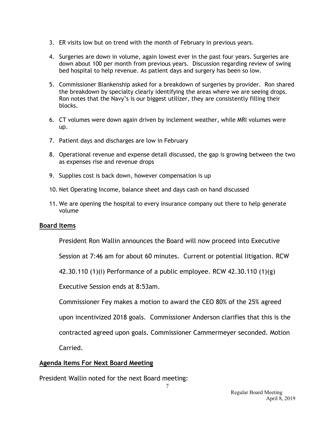- 3. ER visits low but on trend with the month of February in previous years.
- 4. Surgeries are down in volume, again lowest ever in the past four years. Surgeries are down about 100 per month from previous years. Discussion regarding review of swing bed hospital to help revenue. As patient days and surgery has been so low.
- 5. Commissioner Blankenship asked for a breakdown of surgeries by provider. Ron shared the breakdown by specialty clearly identifying the areas where we are seeing drops. Ron notes that the Navy's is our biggest utilizer, they are consistently filling their blocks.
- 6. CT volumes were down again driven by inclement weather, while MRI volumes were up.
- 7. Patient days and discharges are low in February
- 8. Operational revenue and expense detail discussed, the gap is growing between the two as expenses rise and revenue drops
- 9. Supplies cost is back down, however compensation is up
- 10. Net Operating Income, balance sheet and days cash on hand discussed
- 11. We are opening the hospital to every insurance company out there to help generate volume

## **Board Items**

President Ron Wallin announces the Board will now proceed into Executive

Session at 7:46 am for about 60 minutes. Current or potential litigation. RCW

42.30.110 (1)(i) Performance of a public employee. RCW 42.30.110 (1)(g)

Executive Session ends at 8:53am.

Commissioner Fey makes a motion to award the CEO 80% of the 25% agreed

upon incentivized 2018 goals. Commissioner Anderson clarifies that this is the

contracted agreed upon goals. Commissioner Cammermeyer seconded. Motion

Carried.

## **Agenda Items For Next Board Meeting**

President Wallin noted for the next Board meeting: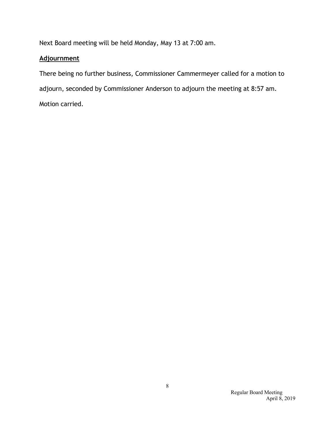Next Board meeting will be held Monday, May 13 at 7:00 am.

# **Adjournment**

There being no further business, Commissioner Cammermeyer called for a motion to adjourn, seconded by Commissioner Anderson to adjourn the meeting at 8:57 am. Motion carried.